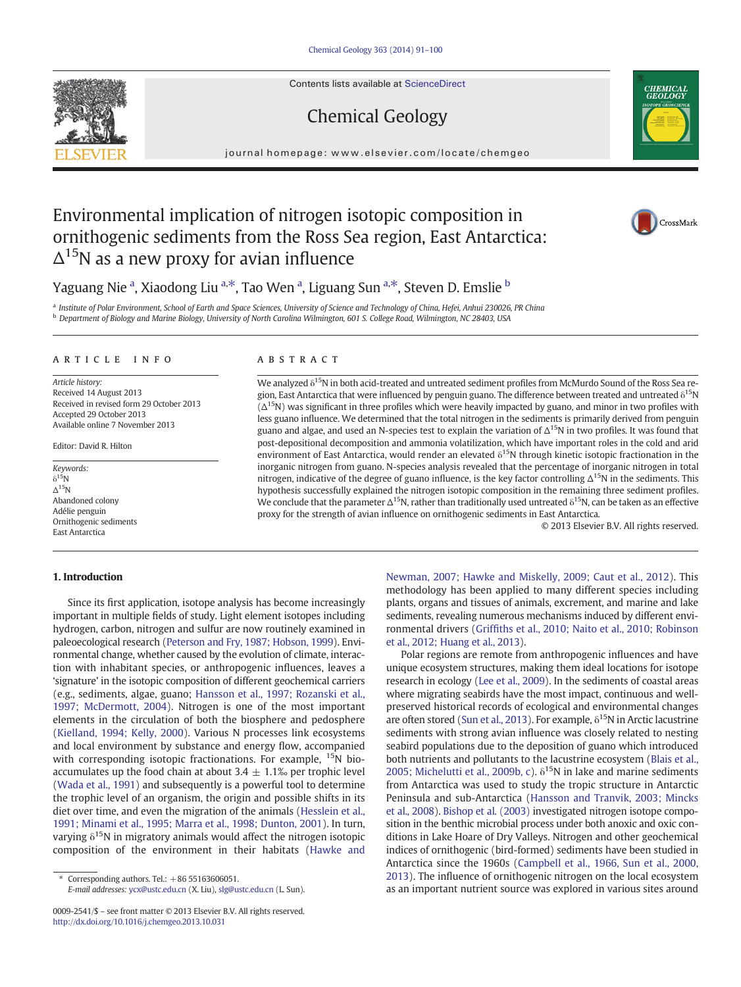Contents lists available at ScienceDirect

# Chemical Geology

journal homepage: www.elsevier.com/locate/chemgeo

# Environmental implication of nitrogen isotopic composition in ornithogenic sediments from the Ross Sea region, East Antarctica:  $\Delta^{15}$ N as a new proxy for avian influence

Yaguang Nie <sup>a</sup>, Xiaodong Liu <sup>a, $\ast$ </sup>, Tao Wen <sup>a</sup>, Liguang Sun <sup>a, $\ast$ </sup>, Steven D. Emslie  $^{\rm b}$ 

a Institute of Polar Environment, School of Earth and Space Sciences, University of Science and Technology of China, Hefei, Anhui 230026, PR China <sup>b</sup> Department of Biology and Marine Biology, University of North Carolina Wilmington, 601 S. College Road, Wilmington, NC 28403, USA

#### article info abstract

Article history: Received 14 August 2013 Received in revised form 29 October 2013 Accepted 29 October 2013 Available online 7 November 2013

Editor: David R. Hilton

Keywords:  $\delta^{15}$ N Δ15N Abandoned colony Adélie penguin Ornithogenic sediments East Antarctica

#### 1. Introduction

Since its first application, isotope analysis has become increasingly important in multiple fields of study. Light element isotopes including hydrogen, carbon, nitrogen and sulfur are now routinely examined in paleoecological research [\(Peterson and Fry, 1987; Hobson, 1999\)](#page-9-0). Environmental change, whether caused by the evolution of climate, interaction with inhabitant species, or anthropogenic influences, leaves a 'signature' in the isotopic composition of different geochemical carriers (e.g., sediments, algae, guano; [Hansson et al., 1997; Rozanski et al.,](#page-8-0) [1997; McDermott, 2004](#page-8-0)). Nitrogen is one of the most important elements in the circulation of both the biosphere and pedosphere [\(Kielland, 1994; Kelly, 2000\)](#page-8-0). Various N processes link ecosystems and local environment by substance and energy flow, accompanied with corresponding isotopic fractionations. For example,  $^{15}N$  bioaccumulates up the food chain at about 3.4  $\pm$  1.1‰ per trophic level [\(Wada et al., 1991\)](#page-9-0) and subsequently is a powerful tool to determine the trophic level of an organism, the origin and possible shifts in its diet over time, and even the migration of the animals ([Hesslein et al.,](#page-8-0) [1991; Minami et al., 1995; Marra et al., 1998; Dunton, 2001](#page-8-0)). In turn, varying  $\delta^{15}$ N in migratory animals would affect the nitrogen isotopic composition of the environment in their habitats [\(Hawke and](#page-8-0)

E-mail addresses: [ycx@ustc.edu.cn](mailto:ycx@ustc.edu.cn) (X. Liu), [slg@ustc.edu.cn](mailto:slg@ustc.edu.cn) (L. Sun).

We analyzed  $\delta^{15}$ N in both acid-treated and untreated sediment profiles from McMurdo Sound of the Ross Sea region, East Antarctica that were influenced by penguin guano. The difference between treated and untreated  $\delta^{15}N$  $(\Delta^{15}N)$  was significant in three profiles which were heavily impacted by guano, and minor in two profiles with less guano influence. We determined that the total nitrogen in the sediments is primarily derived from penguin guano and algae, and used an N-species test to explain the variation of  $\Delta^{15}N$  in two profiles. It was found that post-depositional decomposition and ammonia volatilization, which have important roles in the cold and arid environment of East Antarctica, would render an elevated  $\delta^{15}N$  through kinetic isotopic fractionation in the inorganic nitrogen from guano. N-species analysis revealed that the percentage of inorganic nitrogen in total nitrogen, indicative of the degree of guano influence, is the key factor controlling  $\Delta^{15}N$  in the sediments. This hypothesis successfully explained the nitrogen isotopic composition in the remaining three sediment profiles. We conclude that the parameter  $\Delta^{15}N$ , rather than traditionally used untreated  $\delta^{15}N$ , can be taken as an effective proxy for the strength of avian influence on ornithogenic sediments in East Antarctica.

© 2013 Elsevier B.V. All rights reserved.

[Newman, 2007; Hawke and Miskelly, 2009; Caut et al., 2012](#page-8-0)). This methodology has been applied to many different species including plants, organs and tissues of animals, excrement, and marine and lake sediments, revealing numerous mechanisms induced by different environmental drivers (Griffi[ths et al., 2010; Naito et al., 2010; Robinson](#page-8-0) [et al., 2012; Huang et al., 2013\)](#page-8-0).

Polar regions are remote from anthropogenic influences and have unique ecosystem structures, making them ideal locations for isotope research in ecology ([Lee et al., 2009\)](#page-8-0). In the sediments of coastal areas where migrating seabirds have the most impact, continuous and wellpreserved historical records of ecological and environmental changes are often stored [\(Sun et al., 2013](#page-9-0)). For example,  $\delta^{15}$ N in Arctic lacustrine sediments with strong avian influence was closely related to nesting seabird populations due to the deposition of guano which introduced both nutrients and pollutants to the lacustrine ecosystem [\(Blais et al.,](#page-8-0) [2005; Michelutti et al., 2009b, c\)](#page-8-0).  $\delta^{15}$ N in lake and marine sediments from Antarctica was used to study the tropic structure in Antarctic Peninsula and sub-Antarctica ([Hansson and Tranvik, 2003; Mincks](#page-8-0) [et al., 2008](#page-8-0)). [Bishop et al. \(2003\)](#page-8-0) investigated nitrogen isotope composition in the benthic microbial process under both anoxic and oxic conditions in Lake Hoare of Dry Valleys. Nitrogen and other geochemical indices of ornithogenic (bird-formed) sediments have been studied in Antarctica since the 1960s ([Campbell et al., 1966, Sun et al., 2000,](#page-8-0) [2013\)](#page-8-0). The influence of ornithogenic nitrogen on the local ecosystem as an important nutrient source was explored in various sites around







Corresponding authors. Tel.:  $+8655163606051$ .

<sup>0009-2541/\$</sup> – see front matter © 2013 Elsevier B.V. All rights reserved. <http://dx.doi.org/10.1016/j.chemgeo.2013.10.031>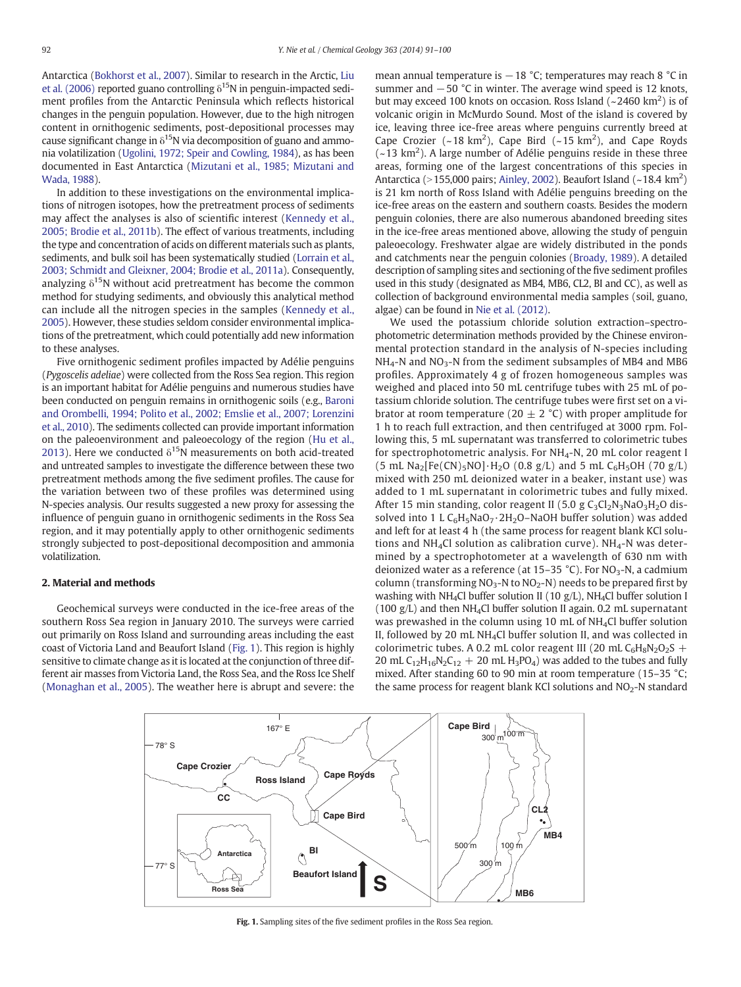Antarctica [\(Bokhorst et al., 2007](#page-8-0)). Similar to research in the Arctic, [Liu](#page-8-0) [et al. \(2006\)](#page-8-0) reported guano controlling  $\delta^{15}$ N in penguin-impacted sediment profiles from the Antarctic Peninsula which reflects historical changes in the penguin population. However, due to the high nitrogen content in ornithogenic sediments, post-depositional processes may cause significant change in  $\delta^{15}N$  via decomposition of guano and ammonia volatilization [\(Ugolini, 1972; Speir and Cowling, 1984](#page-9-0)), as has been documented in East Antarctica ([Mizutani et al., 1985; Mizutani and](#page-9-0) [Wada, 1988\)](#page-9-0).

In addition to these investigations on the environmental implications of nitrogen isotopes, how the pretreatment process of sediments may affect the analyses is also of scientific interest ([Kennedy et al.,](#page-8-0) [2005; Brodie et al., 2011b\)](#page-8-0). The effect of various treatments, including the type and concentration of acids on different materials such as plants, sediments, and bulk soil has been systematically studied ([Lorrain et al.,](#page-8-0) [2003; Schmidt and Gleixner, 2004; Brodie et al., 2011a](#page-8-0)). Consequently, analyzing  $\delta^{15}$ N without acid pretreatment has become the common method for studying sediments, and obviously this analytical method can include all the nitrogen species in the samples ([Kennedy et al.,](#page-8-0) [2005\)](#page-8-0). However, these studies seldom consider environmental implications of the pretreatment, which could potentially add new information to these analyses.

Five ornithogenic sediment profiles impacted by Adélie penguins (Pygoscelis adeliae) were collected from the Ross Sea region. This region is an important habitat for Adélie penguins and numerous studies have been conducted on penguin remains in ornithogenic soils (e.g., [Baroni](#page-8-0) [and Orombelli, 1994; Polito et al., 2002; Emslie et al., 2007; Lorenzini](#page-8-0) [et al., 2010](#page-8-0)). The sediments collected can provide important information on the paleoenvironment and paleoecology of the region [\(Hu et al.,](#page-8-0) [2013\)](#page-8-0). Here we conducted  $\delta^{15}N$  measurements on both acid-treated and untreated samples to investigate the difference between these two pretreatment methods among the five sediment profiles. The cause for the variation between two of these profiles was determined using N-species analysis. Our results suggested a new proxy for assessing the influence of penguin guano in ornithogenic sediments in the Ross Sea region, and it may potentially apply to other ornithogenic sediments strongly subjected to post-depositional decomposition and ammonia volatilization.

## 2. Material and methods

Geochemical surveys were conducted in the ice-free areas of the southern Ross Sea region in January 2010. The surveys were carried out primarily on Ross Island and surrounding areas including the east coast of Victoria Land and Beaufort Island (Fig. 1). This region is highly sensitive to climate change as it is located at the conjunction of three different air masses from Victoria Land, the Ross Sea, and the Ross Ice Shelf [\(Monaghan et al., 2005\)](#page-9-0). The weather here is abrupt and severe: the mean annual temperature is  $-18$  °C; temperatures may reach 8 °C in summer and  $-50$  °C in winter. The average wind speed is 12 knots, but may exceed 100 knots on occasion. Ross Island  $(-2460 \text{ km}^2)$  is of volcanic origin in McMurdo Sound. Most of the island is covered by ice, leaving three ice-free areas where penguins currently breed at Cape Crozier ( $\sim$ 18 km<sup>2</sup>), Cape Bird ( $\sim$ 15 km<sup>2</sup>), and Cape Royds  $(-13 \text{ km}^2)$ . A large number of Adélie penguins reside in these three areas, forming one of the largest concentrations of this species in Antarctica (>155,000 pairs; [Ainley, 2002\)](#page-8-0). Beaufort Island (~18.4 km<sup>2</sup>) is 21 km north of Ross Island with Adélie penguins breeding on the ice-free areas on the eastern and southern coasts. Besides the modern penguin colonies, there are also numerous abandoned breeding sites in the ice-free areas mentioned above, allowing the study of penguin paleoecology. Freshwater algae are widely distributed in the ponds and catchments near the penguin colonies [\(Broady, 1989\)](#page-8-0). A detailed description of sampling sites and sectioning of the five sediment profiles used in this study (designated as MB4, MB6, CL2, BI and CC), as well as collection of background environmental media samples (soil, guano, algae) can be found in [Nie et al. \(2012\).](#page-9-0)

We used the potassium chloride solution extraction–spectrophotometric determination methods provided by the Chinese environmental protection standard in the analysis of N-species including  $NH<sub>4</sub>$ -N and NO<sub>3</sub>-N from the sediment subsamples of MB4 and MB6 profiles. Approximately 4 g of frozen homogeneous samples was weighed and placed into 50 mL centrifuge tubes with 25 mL of potassium chloride solution. The centrifuge tubes were first set on a vibrator at room temperature (20  $\pm$  2 °C) with proper amplitude for 1 h to reach full extraction, and then centrifuged at 3000 rpm. Following this, 5 mL supernatant was transferred to colorimetric tubes for spectrophotometric analysis. For NH<sub>4</sub>-N, 20 mL color reagent I  $(5 \text{ mL Na}_2[Fe(CN)_5NO] \cdot H_2O (0.8 \text{ g/L})$  and 5 mL C<sub>6</sub>H<sub>5</sub>OH (70 g/L) mixed with 250 mL deionized water in a beaker, instant use) was added to 1 mL supernatant in colorimetric tubes and fully mixed. After 15 min standing, color reagent II (5.0 g  $C_3Cl_2N_3NaO_3H_2O$  dissolved into 1 L  $C_6H_5NaO_7 \cdot 2H_2O-NaOH$  buffer solution) was added and left for at least 4 h (the same process for reagent blank KCl solutions and NH<sub>4</sub>Cl solution as calibration curve). NH<sub>4</sub>-N was determined by a spectrophotometer at a wavelength of 630 nm with deionized water as a reference (at  $15-35$  °C). For NO<sub>3</sub>-N, a cadmium column (transforming  $NO_3-N$  to  $NO_2-N$ ) needs to be prepared first by washing with NH<sub>4</sub>Cl buffer solution II (10 g/L), NH<sub>4</sub>Cl buffer solution I (100  $g/L$ ) and then NH<sub>4</sub>Cl buffer solution II again, 0.2 mL supernatant was prewashed in the column using 10 mL of NH4Cl buffer solution II, followed by 20 mL NH<sub>4</sub>Cl buffer solution II, and was collected in colorimetric tubes. A 0.2 mL color reagent III (20 mL  $C_6H_8N_2O_2S$  + 20 mL  $C_{12}H_{16}N_2C_{12} + 20$  mL  $H_3PO_4$ ) was added to the tubes and fully mixed. After standing 60 to 90 min at room temperature (15–35 °C; the same process for reagent blank KCl solutions and  $NO<sub>2</sub>-N$  standard



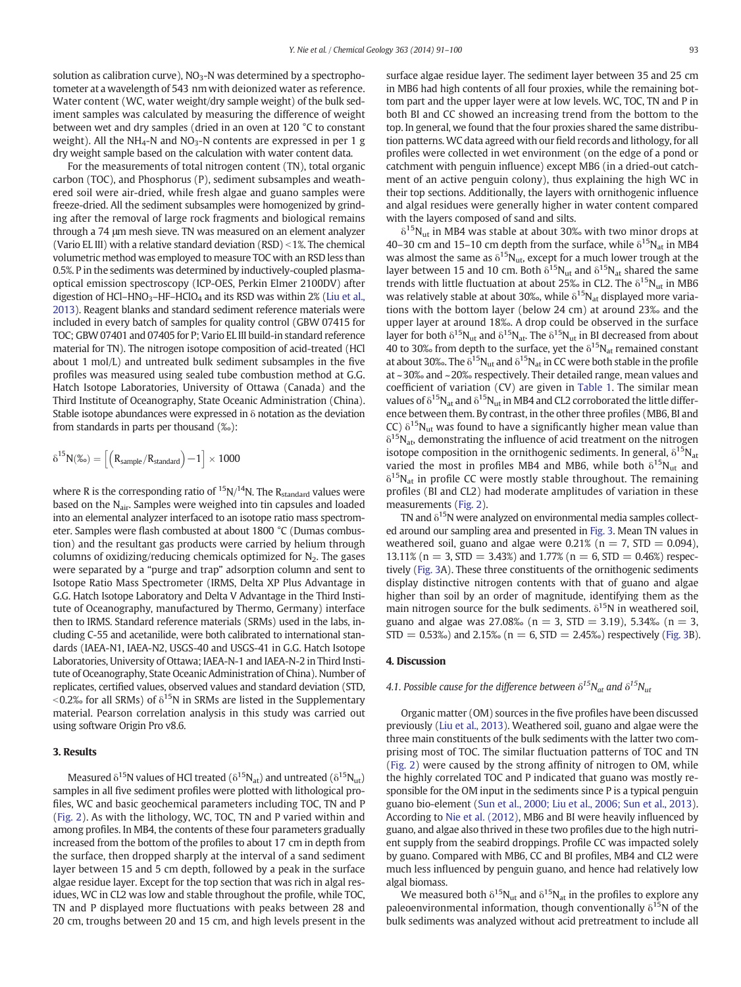solution as calibration curve),  $NO<sub>3</sub>-N$  was determined by a spectrophotometer at a wavelength of 543 nm with deionized water as reference. Water content (WC, water weight/dry sample weight) of the bulk sediment samples was calculated by measuring the difference of weight between wet and dry samples (dried in an oven at 120 °C to constant weight). All the  $NH_4$ -N and  $NO_3$ -N contents are expressed in per 1 g dry weight sample based on the calculation with water content data.

For the measurements of total nitrogen content (TN), total organic carbon (TOC), and Phosphorus (P), sediment subsamples and weathered soil were air-dried, while fresh algae and guano samples were freeze-dried. All the sediment subsamples were homogenized by grinding after the removal of large rock fragments and biological remains through a 74 μm mesh sieve. TN was measured on an element analyzer (Vario EL III) with a relative standard deviation  $(RSD) < 1%$ . The chemical volumetric method was employed to measure TOC with an RSD less than 0.5%. P in the sediments was determined by inductively-coupled plasmaoptical emission spectroscopy (ICP-OES, Perkin Elmer 2100DV) after digestion of HCl–HNO<sub>3</sub>–HF–HClO<sub>4</sub> and its RSD was within 2% [\(Liu et al.,](#page-8-0) [2013](#page-8-0)). Reagent blanks and standard sediment reference materials were included in every batch of samples for quality control (GBW 07415 for TOC; GBW 07401 and 07405 for P; Vario EL III build-in standard reference material for TN). The nitrogen isotope composition of acid-treated (HCl about 1 mol/L) and untreated bulk sediment subsamples in the five profiles was measured using sealed tube combustion method at G.G. Hatch Isotope Laboratories, University of Ottawa (Canada) and the Third Institute of Oceanography, State Oceanic Administration (China). Stable isotope abundances were expressed in  $\delta$  notation as the deviation from standards in parts per thousand (‰):

$$
\delta^{15} N(\text{\%o}) = \left[\left(R_{sample}/R_{standard}\right)\!-\!1\right] \times 1000
$$

where R is the corresponding ratio of  $^{15}N/^{14}N$ . The R<sub>standard</sub> values were based on the N<sub>air</sub>. Samples were weighed into tin capsules and loaded into an elemental analyzer interfaced to an isotope ratio mass spectrometer. Samples were flash combusted at about 1800 °C (Dumas combustion) and the resultant gas products were carried by helium through columns of oxidizing/reducing chemicals optimized for  $N_2$ . The gases were separated by a "purge and trap" adsorption column and sent to Isotope Ratio Mass Spectrometer (IRMS, Delta XP Plus Advantage in G.G. Hatch Isotope Laboratory and Delta V Advantage in the Third Institute of Oceanography, manufactured by Thermo, Germany) interface then to IRMS. Standard reference materials (SRMs) used in the labs, including C-55 and acetanilide, were both calibrated to international standards (IAEA-N1, IAEA-N2, USGS-40 and USGS-41 in G.G. Hatch Isotope Laboratories, University of Ottawa; IAEA-N-1 and IAEA-N-2 in Third Institute of Oceanography, State Oceanic Administration of China). Number of replicates, certified values, observed values and standard deviation (STD,  $\leq$ 0.2‰ for all SRMs) of  $\delta^{15}N$  in SRMs are listed in the Supplementary material. Pearson correlation analysis in this study was carried out using software Origin Pro v8.6.

#### 3. Results

Measured  $\delta^{15}N$  values of HCl treated ( $\delta^{15}N_{at}$ ) and untreated ( $\delta^{15}N_{ut}$ ) samples in all five sediment profiles were plotted with lithological profiles, WC and basic geochemical parameters including TOC, TN and P [\(Fig. 2\)](#page-3-0). As with the lithology, WC, TOC, TN and P varied within and among profiles. In MB4, the contents of these four parameters gradually increased from the bottom of the profiles to about 17 cm in depth from the surface, then dropped sharply at the interval of a sand sediment layer between 15 and 5 cm depth, followed by a peak in the surface algae residue layer. Except for the top section that was rich in algal residues, WC in CL2 was low and stable throughout the profile, while TOC, TN and P displayed more fluctuations with peaks between 28 and 20 cm, troughs between 20 and 15 cm, and high levels present in the surface algae residue layer. The sediment layer between 35 and 25 cm in MB6 had high contents of all four proxies, while the remaining bottom part and the upper layer were at low levels. WC, TOC, TN and P in both BI and CC showed an increasing trend from the bottom to the top. In general, we found that the four proxies shared the same distribution patterns. WC data agreed with our field records and lithology, for all profiles were collected in wet environment (on the edge of a pond or catchment with penguin influence) except MB6 (in a dried-out catchment of an active penguin colony), thus explaining the high WC in their top sections. Additionally, the layers with ornithogenic influence and algal residues were generally higher in water content compared with the layers composed of sand and silts.

 $\delta^{15}$ N<sub>ut</sub> in MB4 was stable at about 30‰ with two minor drops at 40–30 cm and 15–10 cm depth from the surface, while  $\delta^{15}N_{at}$  in MB4 was almost the same as  $\delta^{15}$ N<sub>ut</sub>, except for a much lower trough at the layer between 15 and 10 cm. Both  $\delta^{15}N_{ut}$  and  $\delta^{15}N_{at}$  shared the same trends with little fluctuation at about 25‰ in CL2. The  $\delta^{15}N_{\text{ut}}$  in MB6 was relatively stable at about 30‰, while  $\delta^{15}N_{at}$  displayed more variations with the bottom layer (below 24 cm) at around 23‰ and the upper layer at around 18‰. A drop could be observed in the surface layer for both  $\delta^{15}N_{ut}$  and  $\delta^{15}N_{at}$ . The  $\delta^{15}N_{ut}$  in BI decreased from about 40 to 30‰ from depth to the surface, yet the  $\delta^{15}N_{at}$  remained constant at about 30‰. The  $\delta^{15}N_{ut}$  and  $\delta^{15}N_{at}$  in CC were both stable in the profile at ~30‰ and ~20‰ respectively. Their detailed range, mean values and coefficient of variation (CV) are given in [Table 1.](#page-4-0) The similar mean values of  $\delta^{15}N_{at}$  and  $\delta^{15}N_{ut}$  in MB4 and CL2 corroborated the little difference between them. By contrast, in the other three profiles (MB6, BI and CC)  $\delta^{15}N_{ut}$  was found to have a significantly higher mean value than  $\delta^{15}N_{at}$ , demonstrating the influence of acid treatment on the nitrogen isotope composition in the ornithogenic sediments. In general,  $\delta^{15}N_{at}$ varied the most in profiles MB4 and MB6, while both  $\delta^{15}N_{\text{ut}}$  and  $\delta^{15}$ N<sub>at</sub> in profile CC were mostly stable throughout. The remaining profiles (BI and CL2) had moderate amplitudes of variation in these measurements ([Fig. 2](#page-3-0)).

TN and  $\delta^{15}$ N were analyzed on environmental media samples collected around our sampling area and presented in [Fig. 3.](#page-4-0) Mean TN values in weathered soil, guano and algae were  $0.21\%$  (n = 7, STD = 0.094), 13.11% (n = 3, STD = 3.43%) and 1.77% (n = 6, STD = 0.46%) respectively ([Fig. 3](#page-4-0)A). These three constituents of the ornithogenic sediments display distinctive nitrogen contents with that of guano and algae higher than soil by an order of magnitude, identifying them as the main nitrogen source for the bulk sediments.  $\delta^{15}$ N in weathered soil, guano and algae was 27.08‰ ( $n = 3$ , STD = 3.19), 5.34‰ ( $n = 3$ ,  $STD = 0.53\%$ ) and 2.15% ( $n = 6$ ,  $STD = 2.45\%$ ) respectively ([Fig. 3B](#page-4-0)).

## 4. Discussion

# 4.1. Possible cause for the difference between  $\delta^{15}N_{at}$  and  $\delta^{15}N_{ut}$

Organic matter (OM) sources in the five profiles have been discussed previously [\(Liu et al., 2013\)](#page-8-0). Weathered soil, guano and algae were the three main constituents of the bulk sediments with the latter two comprising most of TOC. The similar fluctuation patterns of TOC and TN [\(Fig. 2\)](#page-3-0) were caused by the strong affinity of nitrogen to OM, while the highly correlated TOC and P indicated that guano was mostly responsible for the OM input in the sediments since P is a typical penguin guano bio-element [\(Sun et al., 2000; Liu et al., 2006; Sun et al., 2013](#page-9-0)). According to [Nie et al. \(2012\),](#page-9-0) MB6 and BI were heavily influenced by guano, and algae also thrived in these two profiles due to the high nutrient supply from the seabird droppings. Profile CC was impacted solely by guano. Compared with MB6, CC and BI profiles, MB4 and CL2 were much less influenced by penguin guano, and hence had relatively low algal biomass.

We measured both  $\delta^{15}N_{ut}$  and  $\delta^{15}N_{at}$  in the profiles to explore any paleoenvironmental information, though conventionally  $\delta^{15}N$  of the bulk sediments was analyzed without acid pretreatment to include all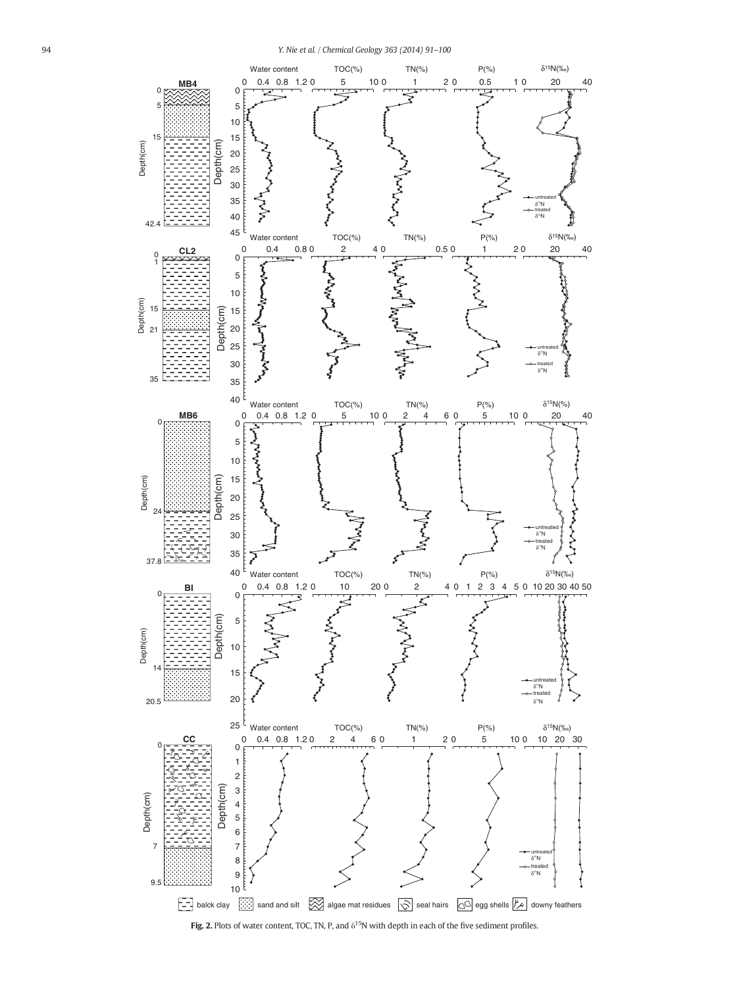<span id="page-3-0"></span>

Fig. 2. Plots of water content, TOC, TN, P, and  $\delta^{15}N$  with depth in each of the five sediment profiles.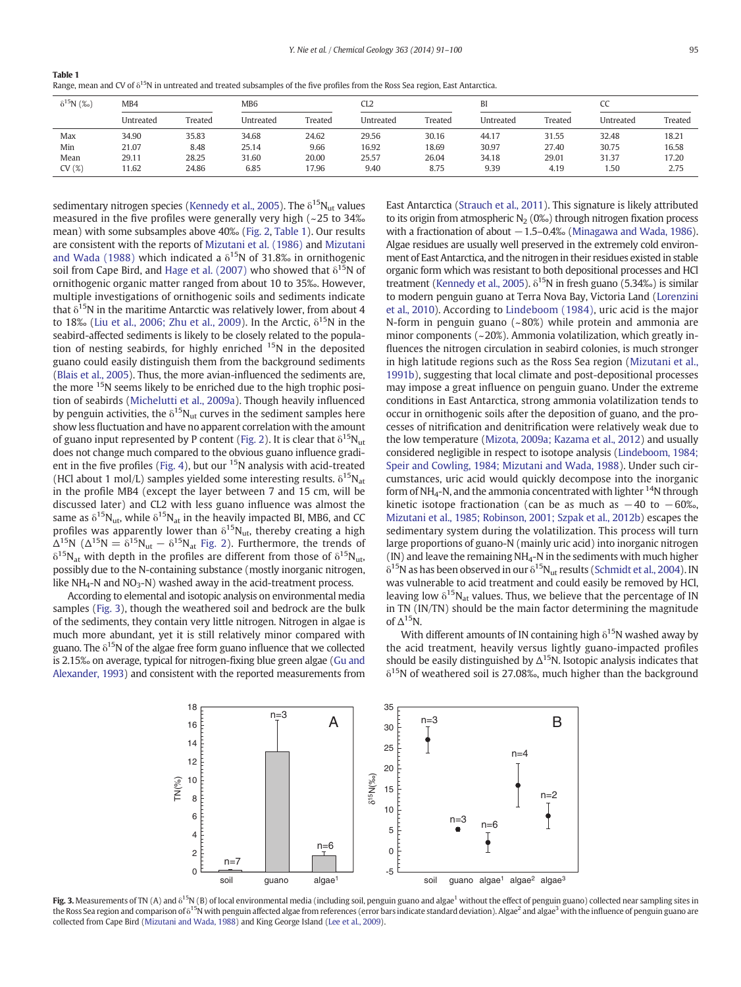<span id="page-4-0"></span>

| Table 1                                                                                                                                   |  |
|-------------------------------------------------------------------------------------------------------------------------------------------|--|
| Range, mean and CV of $\delta^{15}$ N in untreated and treated subsamples of the five profiles from the Ross Sea region, East Antarctica. |  |

| $\delta^{15}N$ (%) | MB4       |         | MB6       |         | CL2       |         | BI        |         | w         |         |
|--------------------|-----------|---------|-----------|---------|-----------|---------|-----------|---------|-----------|---------|
|                    | Untreated | Treated | Untreated | Treated | Untreated | Treated | Untreated | Treated | Untreated | Treated |
| Max                | 34.90     | 35.83   | 34.68     | 24.62   | 29.56     | 30.16   | 44.17     | 31.55   | 32.48     | 18.21   |
| Min                | 21.07     | 8.48    | 25.14     | 9.66    | 16.92     | 18.69   | 30.97     | 27.40   | 30.75     | 16.58   |
| Mean               | 29.11     | 28.25   | 31.60     | 20.00   | 25.57     | 26.04   | 34.18     | 29.01   | 31.37     | 17.20   |
| CV(%)              | 1.62      | 24.86   | 6.85      | 17.96   | 9.40      | 8.75    | 9.39      | 4.19    | 50،،      | 2.75    |

sedimentary nitrogen species [\(Kennedy et al., 2005\)](#page-8-0). The  $\delta^{15}N_{\text{ut}}$  values measured in the five profiles were generally very high (~25 to 34‰ mean) with some subsamples above 40‰ [\(Fig. 2,](#page-3-0) Table 1). Our results are consistent with the reports of [Mizutani et al. \(1986\)](#page-9-0) and [Mizutani](#page-9-0) [and Wada \(1988\)](#page-9-0) which indicated a  $\delta^{15}$ N of 31.8‰ in ornithogenic soil from Cape Bird, and [Hage et al. \(2007\)](#page-8-0) who showed that  $\delta^{15}N$  of ornithogenic organic matter ranged from about 10 to 35‰. However, multiple investigations of ornithogenic soils and sediments indicate that  $\delta^{15}$ N in the maritime Antarctic was relatively lower, from about 4 to 18‰ ([Liu et al., 2006; Zhu et al., 2009\)](#page-8-0). In the Arctic,  $\delta^{15}N$  in the seabird-affected sediments is likely to be closely related to the population of nesting seabirds, for highly enriched  $15N$  in the deposited guano could easily distinguish them from the background sediments [\(Blais et al., 2005](#page-8-0)). Thus, the more avian-influenced the sediments are, the more 15N seems likely to be enriched due to the high trophic position of seabirds ([Michelutti et al., 2009a\)](#page-8-0). Though heavily influenced by penguin activities, the  $\delta^{15}N_{ut}$  curves in the sediment samples here show less fluctuation and have no apparent correlation with the amount of guano input represented by P content ([Fig. 2\)](#page-3-0). It is clear that  $\delta^{15}N_{ut}$ does not change much compared to the obvious guano influence gradi-ent in the five profiles ([Fig. 4\)](#page-5-0), but our  $15N$  analysis with acid-treated (HCl about 1 mol/L) samples yielded some interesting results.  $\delta^{15}N_{at}$ in the profile MB4 (except the layer between 7 and 15 cm, will be discussed later) and CL2 with less guano influence was almost the same as  $\delta^{15}N_{\text{ut}}$ , while  $\delta^{15}N_{\text{at}}$  in the heavily impacted BI, MB6, and CC profiles was apparently lower than  $\delta^{15}N_{\text{ut}}$ , thereby creating a high  $\Delta^{15}N$  ( $\Delta^{15}N = \delta^{15}N_{ut} - \delta^{15}N_{at}$  [Fig. 2](#page-3-0)). Furthermore, the trends of  $\delta^{15}N_{at}$  with depth in the profiles are different from those of  $\delta^{15}N_{ut}$ , possibly due to the N-containing substance (mostly inorganic nitrogen, like NH<sub>4</sub>-N and NO<sub>3</sub>-N) washed away in the acid-treatment process.

According to elemental and isotopic analysis on environmental media samples (Fig. 3), though the weathered soil and bedrock are the bulk of the sediments, they contain very little nitrogen. Nitrogen in algae is much more abundant, yet it is still relatively minor compared with guano. The  $\delta^{15}N$  of the algae free form guano influence that we collected is 2.15‰ on average, typical for nitrogen-fixing blue green algae [\(Gu and](#page-8-0) [Alexander, 1993\)](#page-8-0) and consistent with the reported measurements from East Antarctica [\(Strauch et al., 2011\)](#page-9-0). This signature is likely attributed to its origin from atmospheric  $N_2$  (0% $\sigma$ ) through nitrogen fixation process with a fractionation of about  $-1.5-0.4%$  [\(Minagawa and Wada, 1986](#page-8-0)). Algae residues are usually well preserved in the extremely cold environment of East Antarctica, and the nitrogen in their residues existed in stable organic form which was resistant to both depositional processes and HCl treatment ([Kennedy et al., 2005\)](#page-8-0).  $\delta^{15}$ N in fresh guano (5.34‰) is similar to modern penguin guano at Terra Nova Bay, Victoria Land [\(Lorenzini](#page-8-0) [et al., 2010](#page-8-0)). According to [Lindeboom \(1984\)](#page-8-0), uric acid is the major N-form in penguin guano (~ 80%) while protein and ammonia are minor components (~20%). Ammonia volatilization, which greatly influences the nitrogen circulation in seabird colonies, is much stronger in high latitude regions such as the Ross Sea region ([Mizutani et al.,](#page-9-0) [1991b](#page-9-0)), suggesting that local climate and post-depositional processes may impose a great influence on penguin guano. Under the extreme conditions in East Antarctica, strong ammonia volatilization tends to occur in ornithogenic soils after the deposition of guano, and the processes of nitrification and denitrification were relatively weak due to the low temperature [\(Mizota, 2009a; Kazama et al., 2012\)](#page-9-0) and usually considered negligible in respect to isotope analysis [\(Lindeboom, 1984;](#page-8-0) [Speir and Cowling, 1984; Mizutani and Wada, 1988\)](#page-8-0). Under such circumstances, uric acid would quickly decompose into the inorganic form of NH<sub>4</sub>-N, and the ammonia concentrated with lighter  $14$ N through kinetic isotope fractionation (can be as much as  $-40$  to  $-60\%$ , [Mizutani et al., 1985; Robinson, 2001; Szpak et al., 2012b\)](#page-9-0) escapes the sedimentary system during the volatilization. This process will turn large proportions of guano-N (mainly uric acid) into inorganic nitrogen (IN) and leave the remaining  $NH_4$ -N in the sediments with much higher  $\delta^{15}$ N as has been observed in our  $\delta^{15}$ N<sub>ut</sub> results [\(Schmidt et al., 2004\)](#page-9-0). IN was vulnerable to acid treatment and could easily be removed by HCl, leaving low  $\delta^{15}N_{at}$  values. Thus, we believe that the percentage of IN in TN (IN/TN) should be the main factor determining the magnitude of  $\Delta^{15}$ N.

With different amounts of IN containing high  $\delta^{15}N$  washed away by the acid treatment, heavily versus lightly guano-impacted profiles should be easily distinguished by  $\Delta^{15}N$ . Isotopic analysis indicates that  $\delta^{15}$ N of weathered soil is 27.08‰, much higher than the background



Fig. 3. Measurements of TN (A) and  $\delta^{15}N$  (B) of local environmental media (including soil, penguin guano and algae<sup>1</sup> without the effect of penguin guano) collected near sampling sites in the Ross Sea region and comparison of δ<sup>15</sup>N with penguin affected algae from references (error bars indicate standard deviation). Algae<sup>2</sup> and algae<sup>3</sup> with the influence of penguin guano are collected from Cape Bird [\(Mizutani and Wada, 1988](#page-9-0)) and King George Island [\(Lee et al., 2009\)](#page-8-0).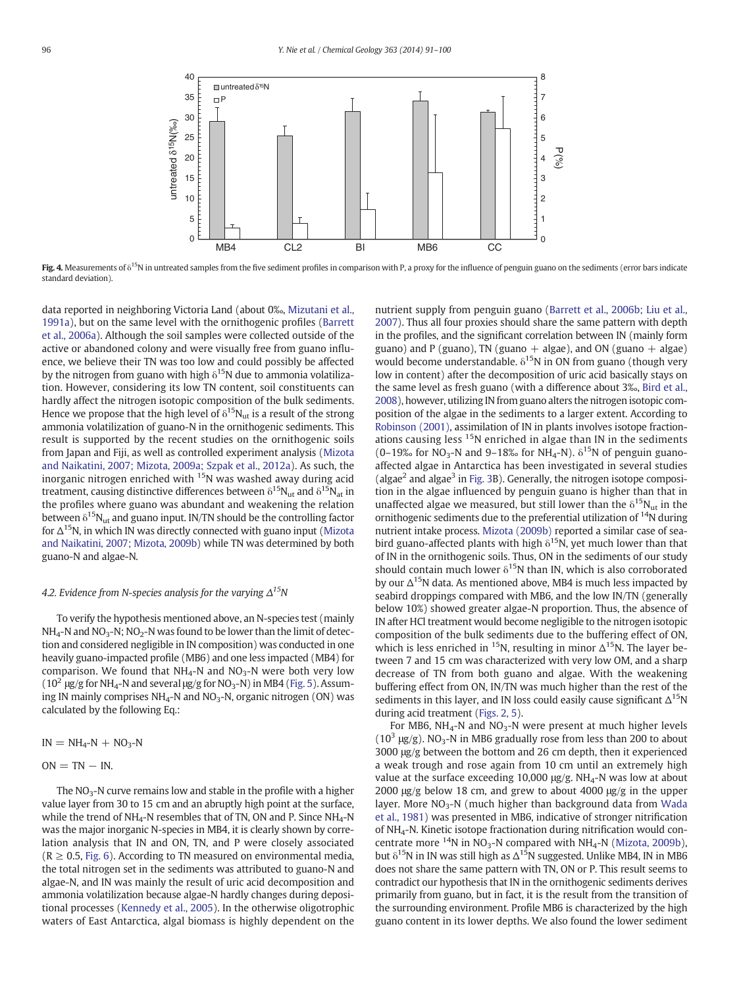<span id="page-5-0"></span>

Fig. 4. Measurements of  $\delta^{15}N$  in untreated samples from the five sediment profiles in comparison with P, a proxy for the influence of penguin guano on the sediments (error bars indicate standard deviation).

data reported in neighboring Victoria Land (about 0‰, [Mizutani et al.,](#page-9-0) [1991a](#page-9-0)), but on the same level with the ornithogenic profiles ([Barrett](#page-8-0) [et al., 2006a](#page-8-0)). Although the soil samples were collected outside of the active or abandoned colony and were visually free from guano influence, we believe their TN was too low and could possibly be affected by the nitrogen from guano with high  $\delta^{15}N$  due to ammonia volatilization. However, considering its low TN content, soil constituents can hardly affect the nitrogen isotopic composition of the bulk sediments. Hence we propose that the high level of  $\delta^{15}N_{\text{ut}}$  is a result of the strong ammonia volatilization of guano-N in the ornithogenic sediments. This result is supported by the recent studies on the ornithogenic soils from Japan and Fiji, as well as controlled experiment analysis ([Mizota](#page-9-0) [and Naikatini, 2007; Mizota, 2009a; Szpak et al., 2012a\)](#page-9-0). As such, the inorganic nitrogen enriched with  $15N$  was washed away during acid treatment, causing distinctive differences between  $\delta^{15}N_{\text{ut}}$  and  $\delta^{15}N_{\text{at}}$  in the profiles where guano was abundant and weakening the relation between  $\delta^{15}N_{ut}$  and guano input. IN/TN should be the controlling factor for  $\Delta^{15}$ N, in which IN was directly connected with guano input [\(Mizota](#page-9-0) [and Naikatini, 2007; Mizota, 2009b](#page-9-0)) while TN was determined by both guano-N and algae-N.

# 4.2. Evidence from N-species analysis for the varying  $\Delta^{15}N$

To verify the hypothesis mentioned above, an N-species test (mainly  $NH<sub>4</sub>$ -N and NO<sub>3</sub>-N; NO<sub>2</sub>-N was found to be lower than the limit of detection and considered negligible in IN composition) was conducted in one heavily guano-impacted profile (MB6) and one less impacted (MB4) for comparison. We found that  $NH_4-N$  and  $NO_3-N$  were both very low  $(10^2 \text{ \mu g/g}$  for NH<sub>4</sub>-N and several  $\mu$ g/g for NO<sub>3</sub>-N) in MB4 [\(Fig. 5](#page-6-0)). Assuming IN mainly comprises  $NH_4$ -N and  $NO_3$ -N, organic nitrogen (ON) was calculated by the following Eq.:

$$
IN = NH_4-N + NO_3-N
$$

$$
ON = TN - IN.
$$

The  $NO<sub>3</sub>$ -N curve remains low and stable in the profile with a higher value layer from 30 to 15 cm and an abruptly high point at the surface, while the trend of  $NH_4$ -N resembles that of TN, ON and P. Since  $NH_4$ -N was the major inorganic N-species in MB4, it is clearly shown by correlation analysis that IN and ON, TN, and P were closely associated  $(R \geq 0.5, Fig. 6)$  $(R \geq 0.5, Fig. 6)$ . According to TN measured on environmental media, the total nitrogen set in the sediments was attributed to guano-N and algae-N, and IN was mainly the result of uric acid decomposition and ammonia volatilization because algae-N hardly changes during depositional processes [\(Kennedy et al., 2005](#page-8-0)). In the otherwise oligotrophic waters of East Antarctica, algal biomass is highly dependent on the nutrient supply from penguin guano ([Barrett et al., 2006b; Liu et al.,](#page-8-0) [2007\)](#page-8-0). Thus all four proxies should share the same pattern with depth in the profiles, and the significant correlation between IN (mainly form guano) and P (guano), TN (guano  $+$  algae), and ON (guano  $+$  algae) would become understandable.  $\delta^{15}$ N in ON from guano (though very low in content) after the decomposition of uric acid basically stays on the same level as fresh guano (with a difference about 3‰, [Bird et al.,](#page-8-0) [2008](#page-8-0)), however, utilizing IN from guano alters the nitrogen isotopic composition of the algae in the sediments to a larger extent. According to [Robinson \(2001\),](#page-9-0) assimilation of IN in plants involves isotope fractionations causing less <sup>15</sup>N enriched in algae than IN in the sediments (0–19‰ for NO<sub>3</sub>-N and 9–18‰ for NH<sub>4</sub>-N).  $\delta^{15}$ N of penguin guanoaffected algae in Antarctica has been investigated in several studies (algae<sup>2</sup> and algae<sup>3</sup> in [Fig. 3B](#page-4-0)). Generally, the nitrogen isotope composition in the algae influenced by penguin guano is higher than that in unaffected algae we measured, but still lower than the  $\delta^{15}N_{ut}$  in the ornithogenic sediments due to the preferential utilization of <sup>14</sup>N during nutrient intake process. [Mizota \(2009b\)](#page-9-0) reported a similar case of seabird guano-affected plants with high  $\delta^{15}$ N, yet much lower than that of IN in the ornithogenic soils. Thus, ON in the sediments of our study should contain much lower  $\delta^{15}$ N than IN, which is also corroborated by our  $\Delta^{15}$ N data. As mentioned above, MB4 is much less impacted by seabird droppings compared with MB6, and the low IN/TN (generally below 10%) showed greater algae-N proportion. Thus, the absence of IN after HCl treatment would become negligible to the nitrogen isotopic composition of the bulk sediments due to the buffering effect of ON, which is less enriched in <sup>15</sup>N, resulting in minor  $\Delta^{15}$ N. The layer between 7 and 15 cm was characterized with very low OM, and a sharp decrease of TN from both guano and algae. With the weakening buffering effect from ON, IN/TN was much higher than the rest of the sediments in this layer, and IN loss could easily cause significant  $\Delta^{15}N$ during acid treatment [\(Figs. 2, 5\)](#page-3-0).

For MB6,  $NH_4$ -N and  $NO_3$ -N were present at much higher levels  $(10^3 \text{ µg/g})$ . NO<sub>3</sub>-N in MB6 gradually rose from less than 200 to about 3000 μg/g between the bottom and 26 cm depth, then it experienced a weak trough and rose again from 10 cm until an extremely high value at the surface exceeding 10,000  $\mu$ g/g. NH<sub>4</sub>-N was low at about 2000 μg/g below 18 cm, and grew to about 4000 μg/g in the upper layer. More  $NO<sub>3</sub>-N$  (much higher than background data from [Wada](#page-9-0) [et al., 1981](#page-9-0)) was presented in MB6, indicative of stronger nitrification of NH4-N. Kinetic isotope fractionation during nitrification would concentrate more  $^{14}N$  in NO<sub>3</sub>-N compared with NH<sub>4</sub>-N [\(Mizota, 2009b](#page-9-0)), but  $\delta^{15}$ N in IN was still high as  $\Delta^{15}$ N suggested. Unlike MB4, IN in MB6 does not share the same pattern with TN, ON or P. This result seems to contradict our hypothesis that IN in the ornithogenic sediments derives primarily from guano, but in fact, it is the result from the transition of the surrounding environment. Profile MB6 is characterized by the high guano content in its lower depths. We also found the lower sediment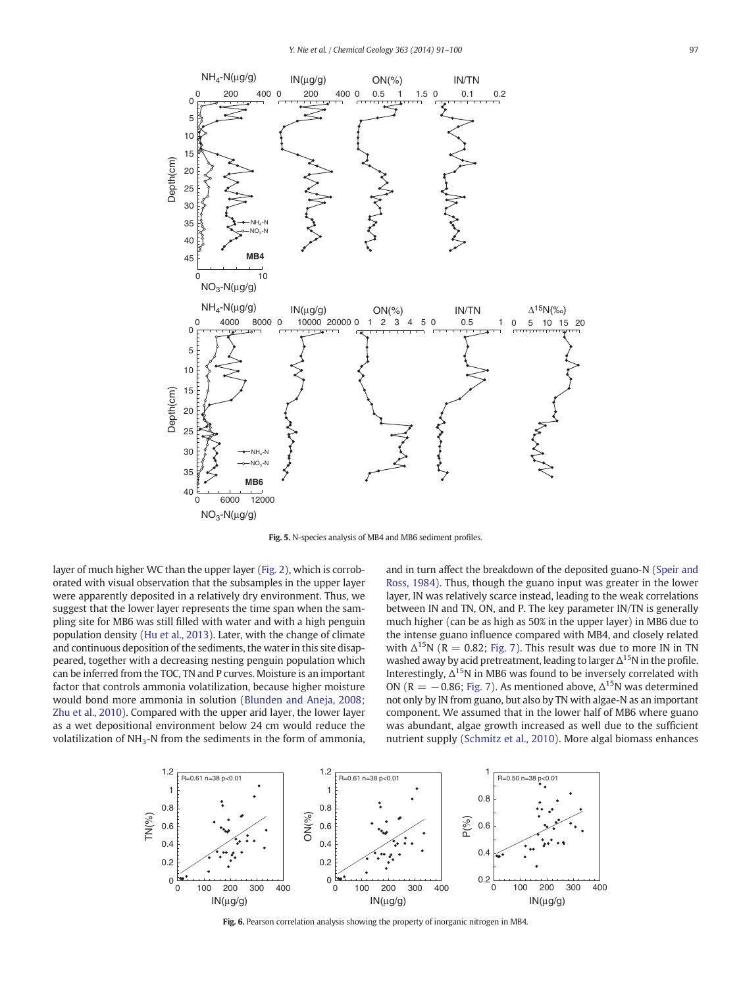<span id="page-6-0"></span>

Fig. 5. N-species analysis of MB4 and MB6 sediment profiles.

layer of much higher WC than the upper layer [\(Fig. 2\)](#page-3-0), which is corroborated with visual observation that the subsamples in the upper layer were apparently deposited in a relatively dry environment. Thus, we suggest that the lower layer represents the time span when the sampling site for MB6 was still filled with water and with a high penguin population density ([Hu et al., 2013\)](#page-8-0). Later, with the change of climate and continuous deposition of the sediments, the water in this site disappeared, together with a decreasing nesting penguin population which can be inferred from the TOC, TN and P curves. Moisture is an important factor that controls ammonia volatilization, because higher moisture would bond more ammonia in solution ([Blunden and Aneja, 2008;](#page-8-0) [Zhu et al., 2010\)](#page-8-0). Compared with the upper arid layer, the lower layer as a wet depositional environment below 24 cm would reduce the volatilization of NH<sub>3</sub>-N from the sediments in the form of ammonia, and in turn affect the breakdown of the deposited guano-N ([Speir and](#page-9-0) [Ross, 1984\)](#page-9-0). Thus, though the guano input was greater in the lower layer, IN was relatively scarce instead, leading to the weak correlations between IN and TN, ON, and P. The key parameter IN/TN is generally much higher (can be as high as 50% in the upper layer) in MB6 due to the intense guano influence compared with MB4, and closely related with  $\Delta^{15}N$  (R = 0.82; [Fig. 7\)](#page-7-0). This result was due to more IN in TN washed away by acid pretreatment, leading to larger  $\Delta^{15}N$  in the profile. Interestingly,  $\Delta^{15}N$  in MB6 was found to be inversely correlated with ON (R =  $-0.86$ ; [Fig. 7\)](#page-7-0). As mentioned above,  $\Delta^{15}$ N was determined not only by IN from guano, but also by TN with algae-N as an important component. We assumed that in the lower half of MB6 where guano was abundant, algae growth increased as well due to the sufficient nutrient supply ([Schmitz et al., 2010\)](#page-9-0). More algal biomass enhances



Fig. 6. Pearson correlation analysis showing the property of inorganic nitrogen in MB4.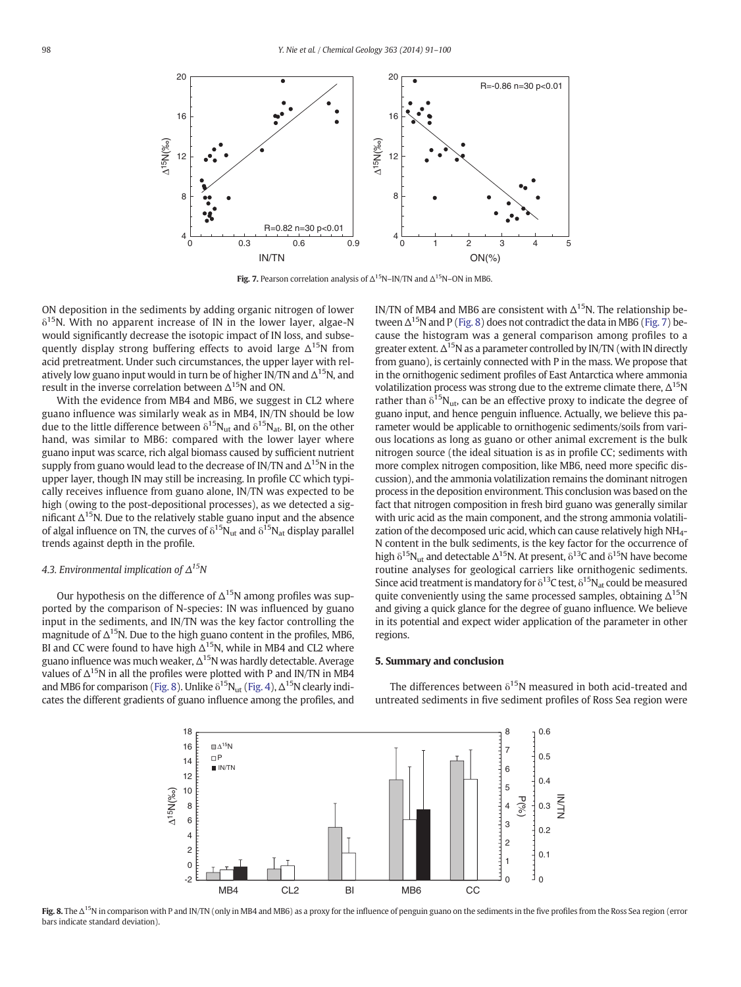<span id="page-7-0"></span>

Fig. 7. Pearson correlation analysis of  $\Delta^{15}N$ –IN/TN and  $\Delta^{15}N$ –ON in MB6.

ON deposition in the sediments by adding organic nitrogen of lower  $\delta^{15}$ N. With no apparent increase of IN in the lower layer, algae-N would significantly decrease the isotopic impact of IN loss, and subsequently display strong buffering effects to avoid large  $\Delta^{15}N$  from acid pretreatment. Under such circumstances, the upper layer with relatively low guano input would in turn be of higher IN/TN and  $\Delta^{15}$ N, and result in the inverse correlation between  $\Delta^{15}N$  and ON.

With the evidence from MB4 and MB6, we suggest in CL2 where guano influence was similarly weak as in MB4, IN/TN should be low due to the little difference between  $\delta^{15}N_{\text{ut}}$  and  $\delta^{15}N_{\text{at}}$ . BI, on the other hand, was similar to MB6: compared with the lower layer where guano input was scarce, rich algal biomass caused by sufficient nutrient supply from guano would lead to the decrease of IN/TN and  $\Delta^{15}$ N in the upper layer, though IN may still be increasing. In profile CC which typically receives influence from guano alone, IN/TN was expected to be high (owing to the post-depositional processes), as we detected a significant  $\Delta^{15}$ N. Due to the relatively stable guano input and the absence of algal influence on TN, the curves of  $\delta^{15}N_{ut}$  and  $\delta^{15}N_{at}$  display parallel trends against depth in the profile.

## 4.3. Environmental implication of  $\Delta^{15}N$

Our hypothesis on the difference of  $\Delta^{15}N$  among profiles was supported by the comparison of N-species: IN was influenced by guano input in the sediments, and IN/TN was the key factor controlling the magnitude of  $\Delta^{15}$ N. Due to the high guano content in the profiles, MB6, BI and CC were found to have high  $\Delta^{15}$ N, while in MB4 and CL2 where guano influence was much weaker,  $\Delta^{15}$ N was hardly detectable. Average values of  $\Delta^{15}N$  in all the profiles were plotted with P and IN/TN in MB4 and MB6 for comparison (Fig. 8). Unlike  $\delta^{15}N_{ut}$  [\(Fig. 4](#page-5-0)),  $\Delta^{15}N$  clearly indicates the different gradients of guano influence among the profiles, and IN/TN of MB4 and MB6 are consistent with  $\Delta^{15}$ N. The relationship between  $\Delta^{15}$ N and P (Fig. 8) does not contradict the data in MB6 (Fig. 7) because the histogram was a general comparison among profiles to a greater extent.  $\Delta^{15}$ N as a parameter controlled by IN/TN (with IN directly from guano), is certainly connected with P in the mass. We propose that in the ornithogenic sediment profiles of East Antarctica where ammonia volatilization process was strong due to the extreme climate there,  $\Delta^{15}N$ rather than  $\delta^{15}N_{\text{up}}$ , can be an effective proxy to indicate the degree of guano input, and hence penguin influence. Actually, we believe this parameter would be applicable to ornithogenic sediments/soils from various locations as long as guano or other animal excrement is the bulk nitrogen source (the ideal situation is as in profile CC; sediments with more complex nitrogen composition, like MB6, need more specific discussion), and the ammonia volatilization remains the dominant nitrogen process in the deposition environment. This conclusion was based on the fact that nitrogen composition in fresh bird guano was generally similar with uric acid as the main component, and the strong ammonia volatilization of the decomposed uric acid, which can cause relatively high NH<sub>4</sub>-N content in the bulk sediments, is the key factor for the occurrence of high  $\delta^{15}N_{\text{tot}}$  and detectable  $\Delta^{15}N$ . At present,  $\delta^{13}C$  and  $\delta^{15}N$  have become routine analyses for geological carriers like ornithogenic sediments. Since acid treatment is mandatory for  $\delta^{13}$ C test,  $\delta^{15}N_{at}$  could be measured quite conveniently using the same processed samples, obtaining  $\Delta^{15}N$ and giving a quick glance for the degree of guano influence. We believe in its potential and expect wider application of the parameter in other regions.

#### 5. Summary and conclusion



The differences between  $\delta^{15}$ N measured in both acid-treated and untreated sediments in five sediment profiles of Ross Sea region were

Fig. 8. The Δ<sup>15</sup>N in comparison with P and IN/TN (only in MB4 and MB6) as a proxy for the influence of penguin guano on the sediments in the five profiles from the Ross Sea region (error bars indicate standard deviation).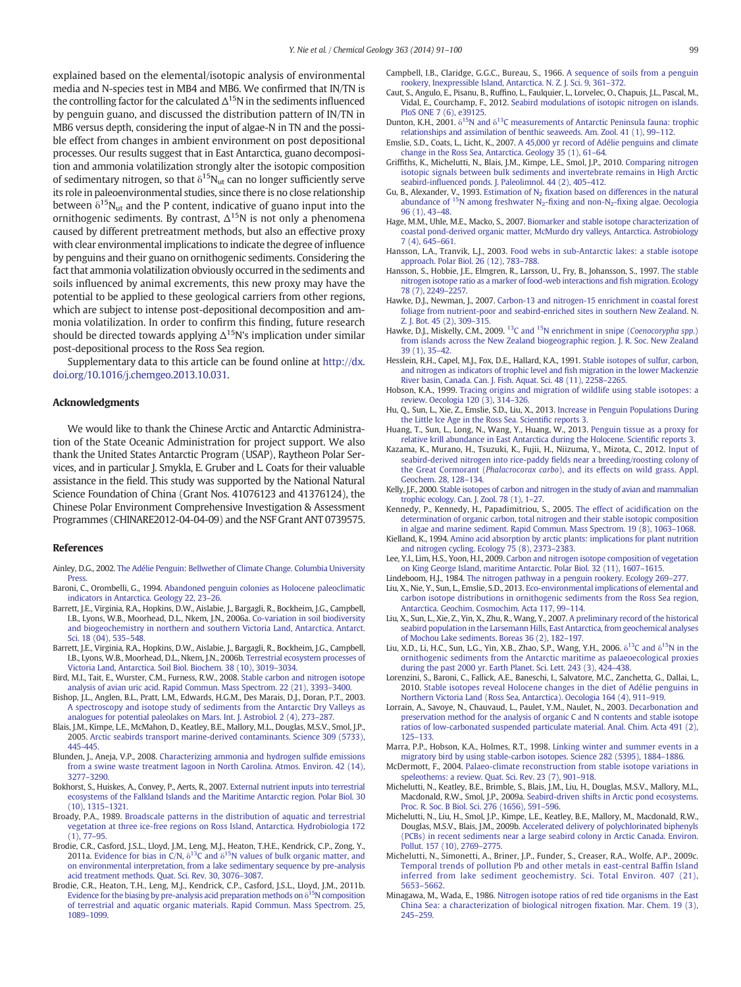<span id="page-8-0"></span>explained based on the elemental/isotopic analysis of environmental media and N-species test in MB4 and MB6. We confirmed that IN/TN is the controlling factor for the calculated  $\Delta^{15}$ N in the sediments influenced by penguin guano, and discussed the distribution pattern of IN/TN in MB6 versus depth, considering the input of algae-N in TN and the possible effect from changes in ambient environment on post depositional processes. Our results suggest that in East Antarctica, guano decomposition and ammonia volatilization strongly alter the isotopic composition of sedimentary nitrogen, so that  $\delta^{15}N_{\text{ut}}$  can no longer sufficiently serve its role in paleoenvironmental studies, since there is no close relationship between  $\delta^{15}N_{\text{ut}}$  and the P content, indicative of guano input into the ornithogenic sediments. By contrast,  $\Delta^{15}N$  is not only a phenomena caused by different pretreatment methods, but also an effective proxy with clear environmental implications to indicate the degree of influence by penguins and their guano on ornithogenic sediments. Considering the fact that ammonia volatilization obviously occurred in the sediments and soils influenced by animal excrements, this new proxy may have the potential to be applied to these geological carriers from other regions, which are subject to intense post-depositional decomposition and ammonia volatilization. In order to confirm this finding, future research should be directed towards applying  $\Delta^{15}$ N's implication under similar post-depositional process to the Ross Sea region.

Supplementary data to this article can be found online at [http://dx.](http://dx.doi.org/10.1016/j.chemgeo.2013.10.031) [doi.org/10.1016/j.chemgeo.2013.10.031.](http://dx.doi.org/10.1016/j.chemgeo.2013.10.031)

#### Acknowledgments

We would like to thank the Chinese Arctic and Antarctic Administration of the State Oceanic Administration for project support. We also thank the United States Antarctic Program (USAP), Raytheon Polar Services, and in particular J. Smykla, E. Gruber and L. Coats for their valuable assistance in the field. This study was supported by the National Natural Science Foundation of China (Grant Nos. 41076123 and 41376124), the Chinese Polar Environment Comprehensive Investigation & Assessment Programmes (CHINARE2012-04-04-09) and the NSF Grant ANT 0739575.

#### References

- Ainley, D.G., 2002. [The Adélie Penguin: Bellwether of Climate Change. Columbia University](http://refhub.elsevier.com/S0009-2541(13)00487-7/rf0005) Press
- Baroni, C., Orombelli, G., 1994. [Abandoned penguin colonies as Holocene paleoclimatic](http://refhub.elsevier.com/S0009-2541(13)00487-7/rf0010) [indicators in Antarctica. Geology 22, 23](http://refhub.elsevier.com/S0009-2541(13)00487-7/rf0010)–26.
- Barrett, J.E., Virginia, R.A., Hopkins, D.W., Aislabie, J., Bargagli, R., Bockheim, J.G., Campbell, I.B., Lyons, W.B., Moorhead, D.L., Nkem, J.N., 2006a. [Co-variation in soil biodiversity](http://refhub.elsevier.com/S0009-2541(13)00487-7/rf0015) [and biogeochemistry in northern and southern Victoria Land, Antarctica. Antarct.](http://refhub.elsevier.com/S0009-2541(13)00487-7/rf0015) [Sci. 18 \(04\), 535](http://refhub.elsevier.com/S0009-2541(13)00487-7/rf0015)–548.
- Barrett, J.E., Virginia, R.A., Hopkins, D.W., Aislabie, J., Bargagli, R., Bockheim, J.G., Campbell, I.B., Lyons, W.B., Moorhead, D.L., Nkem, J.N., 2006b. [Terrestrial ecosystem processes of](http://refhub.elsevier.com/S0009-2541(13)00487-7/rf0020) [Victoria Land, Antarctica. Soil Biol. Biochem. 38 \(10\), 3019](http://refhub.elsevier.com/S0009-2541(13)00487-7/rf0020)–3034.
- Bird, M.I., Tait, E., Wurster, C.M., Furness, R.W., 2008. [Stable carbon and nitrogen isotope](http://refhub.elsevier.com/S0009-2541(13)00487-7/rf0025) [analysis of avian uric acid. Rapid Commun. Mass Spectrom. 22 \(21\), 3393](http://refhub.elsevier.com/S0009-2541(13)00487-7/rf0025)–3400.
- Bishop, J.L., Anglen, B.L., Pratt, L.M., Edwards, H.G.M., Des Marais, D.J., Doran, P.T., 2003. [A spectroscopy and isotope study of sediments from the Antarctic Dry Valleys as](http://refhub.elsevier.com/S0009-2541(13)00487-7/rf0030) [analogues for potential paleolakes on Mars. Int. J. Astrobiol. 2 \(4\), 273](http://refhub.elsevier.com/S0009-2541(13)00487-7/rf0030)–287.
- Blais, J.M., Kimpe, L.E., McMahon, D., Keatley, B.E., Mallory, M.L., Douglas, M.S.V., Smol, J.P., 2005. [Arctic seabirds transport marine-derived contaminants. Science 309 \(5733\),](http://refhub.elsevier.com/S0009-2541(13)00487-7/rf0035) [445-445](http://refhub.elsevier.com/S0009-2541(13)00487-7/rf0035).
- Blunden, J., Aneja, V.P., 2008. [Characterizing ammonia and hydrogen sul](http://refhub.elsevier.com/S0009-2541(13)00487-7/rf0040)fide emissions [from a swine waste treatment lagoon in North Carolina. Atmos. Environ. 42 \(14\),](http://refhub.elsevier.com/S0009-2541(13)00487-7/rf0040) [3277](http://refhub.elsevier.com/S0009-2541(13)00487-7/rf0040)–3290.
- Bokhorst, S., Huiskes, A., Convey, P., Aerts, R., 2007. [External nutrient inputs into terrestrial](http://refhub.elsevier.com/S0009-2541(13)00487-7/rf0045) [ecosystems of the Falkland Islands and the Maritime Antarctic region. Polar Biol. 30](http://refhub.elsevier.com/S0009-2541(13)00487-7/rf0045) [\(10\), 1315](http://refhub.elsevier.com/S0009-2541(13)00487-7/rf0045)–1321.
- Broady, P.A., 1989. [Broadscale patterns in the distribution of aquatic and terrestrial](http://refhub.elsevier.com/S0009-2541(13)00487-7/rf0050) [vegetation at three ice-free regions on Ross Island, Antarctica. Hydrobiologia 172](http://refhub.elsevier.com/S0009-2541(13)00487-7/rf0050) [\(1\), 77](http://refhub.elsevier.com/S0009-2541(13)00487-7/rf0050)–95.
- Brodie, C.R., Casford, J.S.L., Lloyd, J.M., Leng, M.J., Heaton, T.H.E., Kendrick, C.P., Zong, Y., 2011a. [Evidence](http://refhub.elsevier.com/S0009-2541(13)00487-7/rf0055) [for](http://refhub.elsevier.com/S0009-2541(13)00487-7/rf0055) [bias](http://refhub.elsevier.com/S0009-2541(13)00487-7/rf0055) [in](http://refhub.elsevier.com/S0009-2541(13)00487-7/rf0055) [C/N,](http://refhub.elsevier.com/S0009-2541(13)00487-7/rf0055)  $\delta^{13}$ [C](http://refhub.elsevier.com/S0009-2541(13)00487-7/rf0055) [and](http://refhub.elsevier.com/S0009-2541(13)00487-7/rf0055)  $\delta^{15}$ N values of bulk organic matter, and [on environmental interpretation, from a lake sedimentary sequence by pre-analysis](http://refhub.elsevier.com/S0009-2541(13)00487-7/rf0055) [acid treatment methods. Quat. Sci. Rev. 30, 3076](http://refhub.elsevier.com/S0009-2541(13)00487-7/rf0055)–3087.
- Brodie, C.R., Heaton, T.H., Leng, M.J., Kendrick, C.P., Casford, J.S.L., Lloyd, J.M., 2011b. [Evidence](http://refhub.elsevier.com/S0009-2541(13)00487-7/rf0060) [for](http://refhub.elsevier.com/S0009-2541(13)00487-7/rf0060) [the](http://refhub.elsevier.com/S0009-2541(13)00487-7/rf0060) [biasing](http://refhub.elsevier.com/S0009-2541(13)00487-7/rf0060) [by](http://refhub.elsevier.com/S0009-2541(13)00487-7/rf0060) [pre-analysis](http://refhub.elsevier.com/S0009-2541(13)00487-7/rf0060) [acid](http://refhub.elsevier.com/S0009-2541(13)00487-7/rf0060) [preparation](http://refhub.elsevier.com/S0009-2541(13)00487-7/rf0060) [methods](http://refhub.elsevier.com/S0009-2541(13)00487-7/rf0060) [on](http://refhub.elsevier.com/S0009-2541(13)00487-7/rf0060)  $\delta^{15}N$  composition [of terrestrial and aquatic organic materials. Rapid Commun. Mass Spectrom. 25,](http://refhub.elsevier.com/S0009-2541(13)00487-7/rf0060) [1089](http://refhub.elsevier.com/S0009-2541(13)00487-7/rf0060)–1099.
- Campbell, I.B., Claridge, G.G.C., Bureau, S., 1966. [A sequence of soils from a penguin](http://refhub.elsevier.com/S0009-2541(13)00487-7/rf0065) [rookery, Inexpressible Island, Antarctica. N. Z. J. Sci. 9, 361](http://refhub.elsevier.com/S0009-2541(13)00487-7/rf0065)–372.
- Caut, S., Angulo, E., Pisanu, B., Ruffino, L., Faulquier, L., Lorvelec, O., Chapuis, J.L., Pascal, M., Vidal, E., Courchamp, F., 2012. [Seabird modulations of isotopic nitrogen on islands.](http://refhub.elsevier.com/S0009-2541(13)00487-7/rf0070) [PloS ONE 7 \(6\), e39125](http://refhub.elsevier.com/S0009-2541(13)00487-7/rf0070).
- Dunton, K.H., 2001.  $δ^{15}$ N [and](http://refhub.elsevier.com/S0009-2541(13)00487-7/rf0075)  $δ^{13}$ [C measurements of Antarctic Peninsula fauna: trophic](http://refhub.elsevier.com/S0009-2541(13)00487-7/rf0075) [relationships and assimilation of benthic seaweeds. Am. Zool. 41 \(1\), 99](http://refhub.elsevier.com/S0009-2541(13)00487-7/rf0075)–112.
- Emslie, S.D., Coats, L., Licht, K., 2007. [A 45,000 yr record of Adélie penguins and climate](http://refhub.elsevier.com/S0009-2541(13)00487-7/rf0080)
- [change in the Ross Sea, Antarctica. Geology 35 \(1\), 61](http://refhub.elsevier.com/S0009-2541(13)00487-7/rf0080)–64. Griffiths, K., Michelutti, N., Blais, J.M., Kimpe, L.E., Smol, J.P., 2010. [Comparing nitrogen](http://refhub.elsevier.com/S0009-2541(13)00487-7/rf0085) [isotopic signals between bulk sediments and invertebrate remains in High Arctic](http://refhub.elsevier.com/S0009-2541(13)00487-7/rf0085) seabird-infl[uenced ponds. J. Paleolimnol. 44 \(2\), 405](http://refhub.elsevier.com/S0009-2541(13)00487-7/rf0085)–412.
- Gu, B., Alexander, V., 1993. Estimation of  $N_2$  fi[xation based on differences in the natural](http://refhub.elsevier.com/S0009-2541(13)00487-7/rf0090) [abundance](http://refhub.elsevier.com/S0009-2541(13)00487-7/rf0090) [of](http://refhub.elsevier.com/S0009-2541(13)00487-7/rf0090)  $15N$  among freshwater  $N_2$ -fixing and non-N<sub>2</sub>-fi[xing algae. Oecologia](http://refhub.elsevier.com/S0009-2541(13)00487-7/rf0090) [96 \(1\), 43](http://refhub.elsevier.com/S0009-2541(13)00487-7/rf0090)–48.
- Hage, M.M., Uhle, M.E., Macko, S., 2007. [Biomarker and stable isotope characterization of](http://refhub.elsevier.com/S0009-2541(13)00487-7/rf0095) [coastal pond-derived organic matter, McMurdo dry valleys, Antarctica. Astrobiology](http://refhub.elsevier.com/S0009-2541(13)00487-7/rf0095) [7 \(4\), 645](http://refhub.elsevier.com/S0009-2541(13)00487-7/rf0095)–661.
- Hansson, L.A., Tranvik, L.J., 2003. [Food webs in sub-Antarctic lakes: a stable isotope](http://refhub.elsevier.com/S0009-2541(13)00487-7/rf0100) [approach. Polar Biol. 26 \(12\), 783](http://refhub.elsevier.com/S0009-2541(13)00487-7/rf0100)–788.
- Hansson, S., Hobbie, J.E., Elmgren, R., Larsson, U., Fry, B., Johansson, S., 1997. [The stable](http://refhub.elsevier.com/S0009-2541(13)00487-7/rf0105) [nitrogen isotope ratio as a marker of food-web interactions and](http://refhub.elsevier.com/S0009-2541(13)00487-7/rf0105) fish migration. Ecology [78 \(7\), 2249](http://refhub.elsevier.com/S0009-2541(13)00487-7/rf0105)–2257.
- Hawke, D.J., Newman, J., 2007. [Carbon-13 and nitrogen-15 enrichment in coastal forest](http://refhub.elsevier.com/S0009-2541(13)00487-7/rf0110) [foliage from nutrient-poor and seabird-enriched sites in southern New Zealand. N.](http://refhub.elsevier.com/S0009-2541(13)00487-7/rf0110) [Z. J. Bot. 45 \(2\), 309](http://refhub.elsevier.com/S0009-2541(13)00487-7/rf0110)–315.
- Hawke, D.J., Miskelly, C.M., 2009. <sup>13</sup>C [and](http://refhub.elsevier.com/S0009-2541(13)00487-7/rf0115) <sup>15</sup>N enrichment in snipe (Coenocorypha spp.) [from islands across the New Zealand biogeographic region. J. R. Soc. New Zealand](http://refhub.elsevier.com/S0009-2541(13)00487-7/rf0115) [39 \(1\), 35](http://refhub.elsevier.com/S0009-2541(13)00487-7/rf0115)–42.
- Hesslein, R.H., Capel, M.J., Fox, D.E., Hallard, K.A., 1991. [Stable isotopes of sulfur, carbon,](http://refhub.elsevier.com/S0009-2541(13)00487-7/rf0120) [and nitrogen as indicators of trophic level and](http://refhub.elsevier.com/S0009-2541(13)00487-7/rf0120) fish migration in the lower Mackenzie [River basin, Canada. Can. J. Fish. Aquat. Sci. 48 \(11\), 2258](http://refhub.elsevier.com/S0009-2541(13)00487-7/rf0120)–2265.
- Hobson, K.A., 1999. [Tracing origins and migration of wildlife using stable isotopes: a](http://refhub.elsevier.com/S0009-2541(13)00487-7/rf0125) [review. Oecologia 120 \(3\), 314](http://refhub.elsevier.com/S0009-2541(13)00487-7/rf0125)–326.
- Hu, Q., Sun, L., Xie, Z., Emslie, S.D., Liu, X., 2013. [Increase in Penguin Populations During](http://refhub.elsevier.com/S0009-2541(13)00487-7/rf0130) [the Little Ice Age in the Ross Sea. Scienti](http://refhub.elsevier.com/S0009-2541(13)00487-7/rf0130)fic reports 3.
- Huang, T., Sun, L., Long, N., Wang, Y., Huang, W., 2013. [Penguin tissue as a proxy for](http://refhub.elsevier.com/S0009-2541(13)00487-7/rf0135) [relative krill abundance in East Antarctica during the Holocene. Scienti](http://refhub.elsevier.com/S0009-2541(13)00487-7/rf0135)fic reports 3.
- Kazama, K., Murano, H., Tsuzuki, K., Fujii, H., Niizuma, Y., Mizota, C., 2012. [Input of](http://refhub.elsevier.com/S0009-2541(13)00487-7/rf0140) [seabird-derived nitrogen into rice-paddy](http://refhub.elsevier.com/S0009-2541(13)00487-7/rf0140) fields near a breeding/roosting colony of the Great Cormorant (Phalacrocorax carbo[\), and its effects on wild grass. Appl.](http://refhub.elsevier.com/S0009-2541(13)00487-7/rf0140) [Geochem. 28, 128](http://refhub.elsevier.com/S0009-2541(13)00487-7/rf0140)–134.
- Kelly, J.F., 2000. [Stable isotopes of carbon and nitrogen in the study of avian and mammalian](http://refhub.elsevier.com/S0009-2541(13)00487-7/rf0145) [trophic ecology. Can. J. Zool. 78 \(1\), 1](http://refhub.elsevier.com/S0009-2541(13)00487-7/rf0145)–27.
- Kennedy, P., Kennedy, H., Papadimitriou, S., 2005. [The effect of acidi](http://refhub.elsevier.com/S0009-2541(13)00487-7/rf0150)fication on the [determination of organic carbon, total nitrogen and their stable isotopic composition](http://refhub.elsevier.com/S0009-2541(13)00487-7/rf0150) [in algae and marine sediment. Rapid Commun. Mass Spectrom. 19 \(8\), 1063](http://refhub.elsevier.com/S0009-2541(13)00487-7/rf0150)–1068.
- Kielland, K., 1994. [Amino acid absorption by arctic plants: implications for plant nutrition](http://refhub.elsevier.com/S0009-2541(13)00487-7/rf0155) [and nitrogen cycling. Ecology 75 \(8\), 2373](http://refhub.elsevier.com/S0009-2541(13)00487-7/rf0155)–2383.
- Lee, Y.I., Lim, H.S., Yoon, H.I., 2009. [Carbon and nitrogen isotope composition of vegetation](http://refhub.elsevier.com/S0009-2541(13)00487-7/rf0160) [on King George Island, maritime Antarctic. Polar Biol. 32 \(11\), 1607](http://refhub.elsevier.com/S0009-2541(13)00487-7/rf0160)–1615.
- Lindeboom, H.J., 1984. [The nitrogen pathway in a penguin rookery. Ecology 269](http://refhub.elsevier.com/S0009-2541(13)00487-7/rf0165)–277.
- Liu, X., Nie, Y., Sun, L., Emslie, S.D., 2013. [Eco-environmental implications of elemental and](http://refhub.elsevier.com/S0009-2541(13)00487-7/rf0170) [carbon isotope distributions in ornithogenic sediments from the Ross Sea region,](http://refhub.elsevier.com/S0009-2541(13)00487-7/rf0170) [Antarctica. Geochim. Cosmochim. Acta 117, 99](http://refhub.elsevier.com/S0009-2541(13)00487-7/rf0170)–114.
- Liu, X., Sun, L., Xie, Z., Yin, X., Zhu, R., Wang, Y., 2007. [A preliminary record of the historical](http://refhub.elsevier.com/S0009-2541(13)00487-7/rf0175) [seabird population in the Larsemann Hills, East Antarctica, from geochemical analyses](http://refhub.elsevier.com/S0009-2541(13)00487-7/rf0175) [of Mochou Lake sediments. Boreas 36 \(2\), 182](http://refhub.elsevier.com/S0009-2541(13)00487-7/rf0175)–197.
- Liu, X.D., Li, H.C., Sun, L.G., Yin, X.B., Zhao, S.P., Wang, Y.H., 2006.  $\delta^{13}$ C [and](http://refhub.elsevier.com/S0009-2541(13)00487-7/rf0180)  $\delta^{15}$ [N in the](http://refhub.elsevier.com/S0009-2541(13)00487-7/rf0180) [ornithogenic sediments from the Antarctic maritime as palaeoecological proxies](http://refhub.elsevier.com/S0009-2541(13)00487-7/rf0180) [during the past 2000 yr. Earth Planet. Sci. Lett. 243 \(3\), 424](http://refhub.elsevier.com/S0009-2541(13)00487-7/rf0180)–438.
- Lorenzini, S., Baroni, C., Fallick, A.E., Baneschi, I., Salvatore, M.C., Zanchetta, G., Dallai, L., 2010. [Stable isotopes reveal Holocene changes in the diet of Adélie penguins in](http://refhub.elsevier.com/S0009-2541(13)00487-7/rf0185) [Northern Victoria Land \(Ross Sea, Antarctica\). Oecologia 164 \(4\), 911](http://refhub.elsevier.com/S0009-2541(13)00487-7/rf0185)–919.
- Lorrain, A., Savoye, N., Chauvaud, L., Paulet, Y.M., Naulet, N., 2003. [Decarbonation and](http://refhub.elsevier.com/S0009-2541(13)00487-7/rf0190) [preservation method for the analysis of organic C and N contents and stable isotope](http://refhub.elsevier.com/S0009-2541(13)00487-7/rf0190) [ratios of low-carbonated suspended particulate material. Anal. Chim. Acta 491 \(2\),](http://refhub.elsevier.com/S0009-2541(13)00487-7/rf0190) [125](http://refhub.elsevier.com/S0009-2541(13)00487-7/rf0190)–133.
- Marra, P.P., Hobson, K.A., Holmes, R.T., 1998. [Linking winter and summer events in a](http://refhub.elsevier.com/S0009-2541(13)00487-7/rf0195) [migratory bird by using stable-carbon isotopes. Science 282 \(5395\), 1884](http://refhub.elsevier.com/S0009-2541(13)00487-7/rf0195)–1886.
- McDermott, F., 2004. [Palaeo-climate reconstruction from stable isotope variations in](http://refhub.elsevier.com/S0009-2541(13)00487-7/rf0200) [speleothems: a review. Quat. Sci. Rev. 23 \(7\), 901](http://refhub.elsevier.com/S0009-2541(13)00487-7/rf0200)–918.
- Michelutti, N., Keatley, B.E., Brimble, S., Blais, J.M., Liu, H., Douglas, M.S.V., Mallory, M.L., Macdonald, R.W., Smol, J.P., 2009a. [Seabird-driven shifts in Arctic pond ecosystems.](http://refhub.elsevier.com/S0009-2541(13)00487-7/rf0205) [Proc. R. Soc. B Biol. Sci. 276 \(1656\), 591](http://refhub.elsevier.com/S0009-2541(13)00487-7/rf0205)–596.
- Michelutti, N., Liu, H., Smol, J.P., Kimpe, L.E., Keatley, B.E., Mallory, M., Macdonald, R.W., Douglas, M.S.V., Blais, J.M., 2009b. [Accelerated delivery of polychlorinated biphenyls](http://refhub.elsevier.com/S0009-2541(13)00487-7/rf0210) [\(PCBs\) in recent sediments near a large seabird colony in Arctic Canada. Environ.](http://refhub.elsevier.com/S0009-2541(13)00487-7/rf0210) [Pollut. 157 \(10\), 2769](http://refhub.elsevier.com/S0009-2541(13)00487-7/rf0210)–2775.
- Michelutti, N., Simonetti, A., Briner, J.P., Funder, S., Creaser, R.A., Wolfe, A.P., 2009c. [Temporal trends of pollution Pb and other metals in east-central Baf](http://refhub.elsevier.com/S0009-2541(13)00487-7/rf0215)fin Island [inferred from lake sediment geochemistry. Sci. Total Environ. 407 \(21\),](http://refhub.elsevier.com/S0009-2541(13)00487-7/rf0215) [5653](http://refhub.elsevier.com/S0009-2541(13)00487-7/rf0215)–5662.
- Minagawa, M., Wada, E., 1986. [Nitrogen isotope ratios of red tide organisms in the East](http://refhub.elsevier.com/S0009-2541(13)00487-7/rf0220) [China Sea: a characterization of biological nitrogen](http://refhub.elsevier.com/S0009-2541(13)00487-7/rf0220) fixation. Mar. Chem. 19 (3), [245](http://refhub.elsevier.com/S0009-2541(13)00487-7/rf0220)–259.